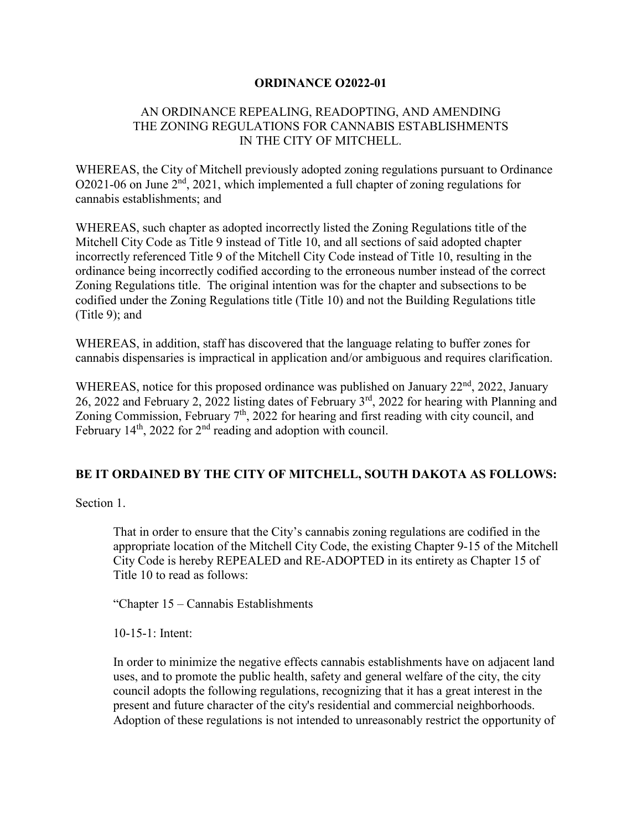## **ORDINANCE O2022-01**

## AN ORDINANCE REPEALING, READOPTING, AND AMENDING THE ZONING REGULATIONS FOR CANNABIS ESTABLISHMENTS IN THE CITY OF MITCHELL.

WHEREAS, the City of Mitchell previously adopted zoning regulations pursuant to Ordinance  $O2021-06$  on June  $2<sup>nd</sup>$ ,  $2021$ , which implemented a full chapter of zoning regulations for cannabis establishments; and

WHEREAS, such chapter as adopted incorrectly listed the Zoning Regulations title of the Mitchell City Code as Title 9 instead of Title 10, and all sections of said adopted chapter incorrectly referenced Title 9 of the Mitchell City Code instead of Title 10, resulting in the ordinance being incorrectly codified according to the erroneous number instead of the correct Zoning Regulations title. The original intention was for the chapter and subsections to be codified under the Zoning Regulations title (Title 10) and not the Building Regulations title (Title 9); and

WHEREAS, in addition, staff has discovered that the language relating to buffer zones for cannabis dispensaries is impractical in application and/or ambiguous and requires clarification.

WHEREAS, notice for this proposed ordinance was published on January  $22<sup>nd</sup>$ ,  $2022$ , January 26, 2022 and February 2, 2022 listing dates of February 3rd, 2022 for hearing with Planning and Zoning Commission, February  $7<sup>th</sup>$ , 2022 for hearing and first reading with city council, and February  $14<sup>th</sup>$ , 2022 for  $2<sup>nd</sup>$  reading and adoption with council.

## **BE IT ORDAINED BY THE CITY OF MITCHELL, SOUTH DAKOTA AS FOLLOWS:**

Section 1.

That in order to ensure that the City's cannabis zoning regulations are codified in the appropriate location of the Mitchell City Code, the existing Chapter 9-15 of the Mitchell City Code is hereby REPEALED and RE-ADOPTED in its entirety as Chapter 15 of Title 10 to read as follows:

"Chapter 15 – Cannabis Establishments

10-15-1: Intent:

In order to minimize the negative effects cannabis establishments have on adjacent land uses, and to promote the public health, safety and general welfare of the city, the city council adopts the following regulations, recognizing that it has a great interest in the present and future character of the city's residential and commercial neighborhoods. Adoption of these regulations is not intended to unreasonably restrict the opportunity of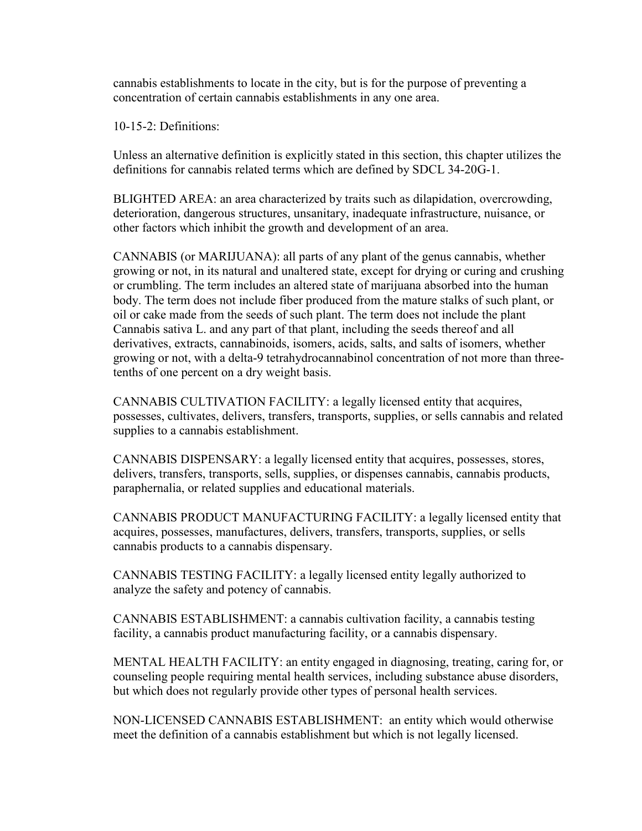cannabis establishments to locate in the city, but is for the purpose of preventing a concentration of certain cannabis establishments in any one area.

10-15-2: Definitions:

Unless an alternative definition is explicitly stated in this section, this chapter utilizes the definitions for cannabis related terms which are defined by SDCL 34-20G-1.

BLIGHTED AREA: an area characterized by traits such as dilapidation, overcrowding, deterioration, dangerous structures, unsanitary, inadequate infrastructure, nuisance, or other factors which inhibit the growth and development of an area.

CANNABIS (or MARIJUANA): all parts of any plant of the genus cannabis, whether growing or not, in its natural and unaltered state, except for drying or curing and crushing or crumbling. The term includes an altered state of marijuana absorbed into the human body. The term does not include fiber produced from the mature stalks of such plant, or oil or cake made from the seeds of such plant. The term does not include the plant Cannabis sativa L. and any part of that plant, including the seeds thereof and all derivatives, extracts, cannabinoids, isomers, acids, salts, and salts of isomers, whether growing or not, with a delta-9 tetrahydrocannabinol concentration of not more than threetenths of one percent on a dry weight basis.

CANNABIS CULTIVATION FACILITY: a legally licensed entity that acquires, possesses, cultivates, delivers, transfers, transports, supplies, or sells cannabis and related supplies to a cannabis establishment.

CANNABIS DISPENSARY: a legally licensed entity that acquires, possesses, stores, delivers, transfers, transports, sells, supplies, or dispenses cannabis, cannabis products, paraphernalia, or related supplies and educational materials.

CANNABIS PRODUCT MANUFACTURING FACILITY: a legally licensed entity that acquires, possesses, manufactures, delivers, transfers, transports, supplies, or sells cannabis products to a cannabis dispensary.

CANNABIS TESTING FACILITY: a legally licensed entity legally authorized to analyze the safety and potency of cannabis.

CANNABIS ESTABLISHMENT: a cannabis cultivation facility, a cannabis testing facility, a cannabis product manufacturing facility, or a cannabis dispensary.

MENTAL HEALTH FACILITY: an entity engaged in diagnosing, treating, caring for, or counseling people requiring mental health services, including substance abuse disorders, but which does not regularly provide other types of personal health services.

NON-LICENSED CANNABIS ESTABLISHMENT: an entity which would otherwise meet the definition of a cannabis establishment but which is not legally licensed.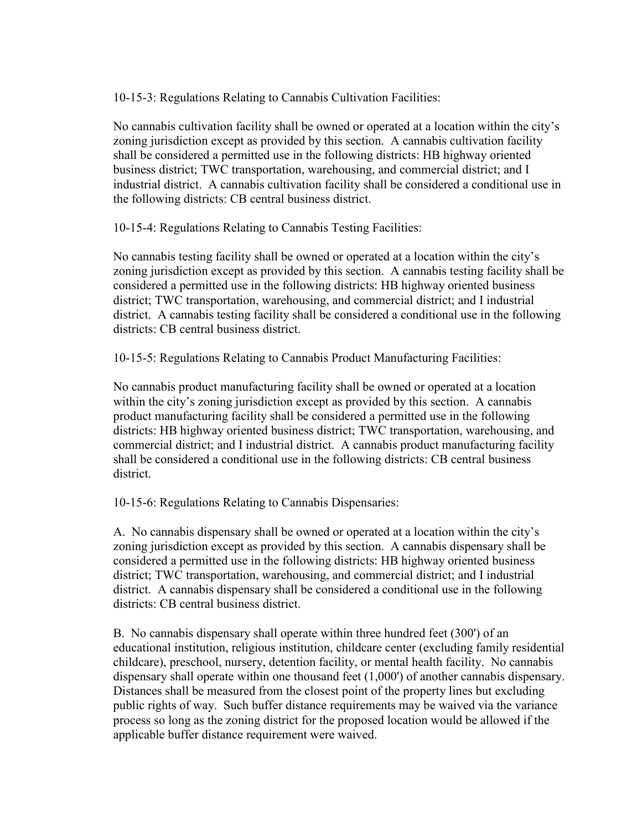10-15-3: Regulations Relating to Cannabis Cultivation Facilities:

No cannabis cultivation facility shall be owned or operated at a location within the city's zoning jurisdiction except as provided by this section. A cannabis cultivation facility shall be considered a permitted use in the following districts: HB highway oriented business district; TWC transportation, warehousing, and commercial district; and I industrial district. A cannabis cultivation facility shall be considered a conditional use in the following districts: CB central business district.

10-15-4: Regulations Relating to Cannabis Testing Facilities:

No cannabis testing facility shall be owned or operated at a location within the city's zoning jurisdiction except as provided by this section. A cannabis testing facility shall be considered a permitted use in the following districts: HB highway oriented business district; TWC transportation, warehousing, and commercial district; and I industrial district. A cannabis testing facility shall be considered a conditional use in the following districts: CB central business district.

10-15-5: Regulations Relating to Cannabis Product Manufacturing Facilities:

No cannabis product manufacturing facility shall be owned or operated at a location within the city's zoning jurisdiction except as provided by this section. A cannabis product manufacturing facility shall be considered a permitted use in the following districts: HB highway oriented business district; TWC transportation, warehousing, and commercial district; and I industrial district. A cannabis product manufacturing facility shall be considered a conditional use in the following districts: CB central business district.

10-15-6: Regulations Relating to Cannabis Dispensaries:

A. No cannabis dispensary shall be owned or operated at a location within the city's zoning jurisdiction except as provided by this section. A cannabis dispensary shall be considered a permitted use in the following districts: HB highway oriented business district; TWC transportation, warehousing, and commercial district; and I industrial district. A cannabis dispensary shall be considered a conditional use in the following districts: CB central business district.

B. No cannabis dispensary shall operate within three hundred feet (300') of an educational institution, religious institution, childcare center (excluding family residential childcare), preschool, nursery, detention facility, or mental health facility. No cannabis dispensary shall operate within one thousand feet (1,000') of another cannabis dispensary. Distances shall be measured from the closest point of the property lines but excluding public rights of way. Such buffer distance requirements may be waived via the variance process so long as the zoning district for the proposed location would be allowed if the applicable buffer distance requirement were waived.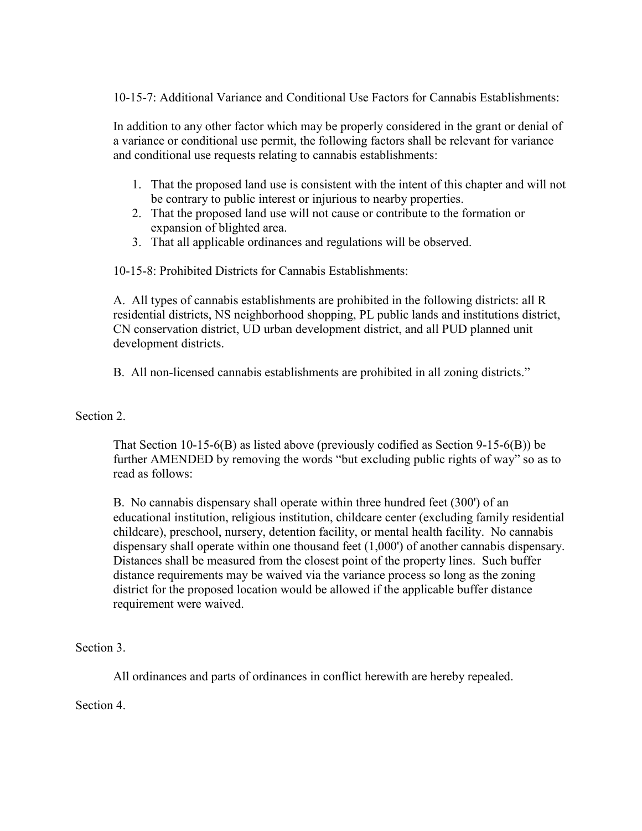10-15-7: Additional Variance and Conditional Use Factors for Cannabis Establishments:

In addition to any other factor which may be properly considered in the grant or denial of a variance or conditional use permit, the following factors shall be relevant for variance and conditional use requests relating to cannabis establishments:

- 1. That the proposed land use is consistent with the intent of this chapter and will not be contrary to public interest or injurious to nearby properties.
- 2. That the proposed land use will not cause or contribute to the formation or expansion of blighted area.
- 3. That all applicable ordinances and regulations will be observed.

10-15-8: Prohibited Districts for Cannabis Establishments:

A. All types of cannabis establishments are prohibited in the following districts: all R residential districts, NS neighborhood shopping, PL public lands and institutions district, CN conservation district, UD urban development district, and all PUD planned unit development districts.

B. All non-licensed cannabis establishments are prohibited in all zoning districts."

Section 2.

That Section 10-15-6(B) as listed above (previously codified as Section 9-15-6(B)) be further AMENDED by removing the words "but excluding public rights of way" so as to read as follows:

B. No cannabis dispensary shall operate within three hundred feet (300') of an educational institution, religious institution, childcare center (excluding family residential childcare), preschool, nursery, detention facility, or mental health facility. No cannabis dispensary shall operate within one thousand feet (1,000') of another cannabis dispensary. Distances shall be measured from the closest point of the property lines. Such buffer distance requirements may be waived via the variance process so long as the zoning district for the proposed location would be allowed if the applicable buffer distance requirement were waived.

Section 3.

All ordinances and parts of ordinances in conflict herewith are hereby repealed.

Section 4.